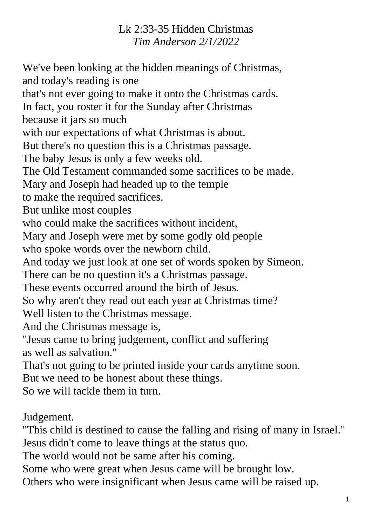## Lk 2:33-35 Hidden Christmas *Tim Anderson 2/1/2022*

We've been looking at the hidden meanings of Christmas, and today's reading is one that's not ever going to make it onto the Christmas cards. In fact, you roster it for the Sunday after Christmas because it jars so much with our expectations of what Christmas is about. But there's no question this is a Christmas passage. The baby Jesus is only a few weeks old. The Old Testament commanded some sacrifices to be made. Mary and Joseph had headed up to the temple to make the required sacrifices. But unlike most couples who could make the sacrifices without incident, Mary and Joseph were met by some godly old people who spoke words over the newborn child. And today we just look at one set of words spoken by Simeon. There can be no question it's a Christmas passage. These events occurred around the birth of Jesus. So why aren't they read out each year at Christmas time? Well listen to the Christmas message. And the Christmas message is, "Jesus came to bring judgement, conflict and suffering as well as salvation." That's not going to be printed inside your cards anytime soon. But we need to be honest about these things. So we will tackle them in turn. Judgement. "This child is destined to cause the falling and rising of many in Israel." Jesus didn't come to leave things at the status quo.

The world would not be same after his coming.

Some who were great when Jesus came will be brought low.

Others who were insignificant when Jesus came will be raised up.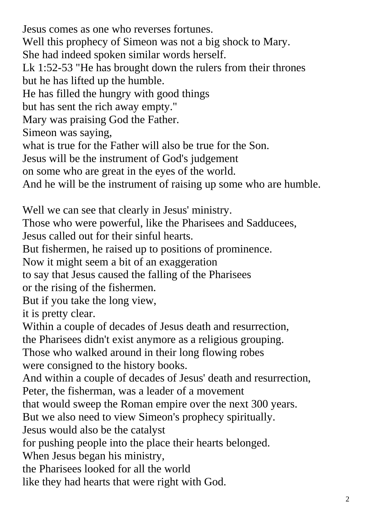Jesus comes as one who reverses fortunes.

Well this prophecy of Simeon was not a big shock to Mary.

She had indeed spoken similar words herself.

Lk 1:52-53 "He has brought down the rulers from their thrones but he has lifted up the humble.

He has filled the hungry with good things

but has sent the rich away empty."

Mary was praising God the Father.

Simeon was saying,

what is true for the Father will also be true for the Son.

Jesus will be the instrument of God's judgement

on some who are great in the eyes of the world.

And he will be the instrument of raising up some who are humble.

Well we can see that clearly in Jesus' ministry.

Those who were powerful, like the Pharisees and Sadducees,

Jesus called out for their sinful hearts.

But fishermen, he raised up to positions of prominence.

Now it might seem a bit of an exaggeration

to say that Jesus caused the falling of the Pharisees

or the rising of the fishermen.

But if you take the long view,

it is pretty clear.

Within a couple of decades of Jesus death and resurrection,

the Pharisees didn't exist anymore as a religious grouping.

Those who walked around in their long flowing robes

were consigned to the history books.

And within a couple of decades of Jesus' death and resurrection, Peter, the fisherman, was a leader of a movement

that would sweep the Roman empire over the next 300 years.

But we also need to view Simeon's prophecy spiritually.

Jesus would also be the catalyst

for pushing people into the place their hearts belonged.

When Jesus began his ministry,

the Pharisees looked for all the world

like they had hearts that were right with God.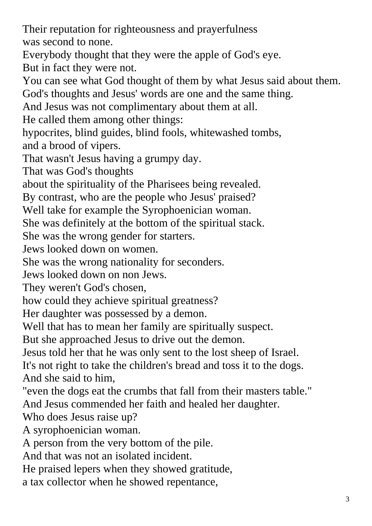Their reputation for righteousness and prayerfulness was second to none.

Everybody thought that they were the apple of God's eye. But in fact they were not.

You can see what God thought of them by what Jesus said about them.

God's thoughts and Jesus' words are one and the same thing.

And Jesus was not complimentary about them at all.

He called them among other things:

hypocrites, blind guides, blind fools, whitewashed tombs, and a brood of vipers.

That wasn't Jesus having a grumpy day.

That was God's thoughts

about the spirituality of the Pharisees being revealed.

By contrast, who are the people who Jesus' praised?

Well take for example the Syrophoenician woman.

She was definitely at the bottom of the spiritual stack.

She was the wrong gender for starters.

Jews looked down on women.

She was the wrong nationality for seconders.

Jews looked down on non Jews.

They weren't God's chosen,

how could they achieve spiritual greatness?

Her daughter was possessed by a demon.

Well that has to mean her family are spiritually suspect.

But she approached Jesus to drive out the demon.

Jesus told her that he was only sent to the lost sheep of Israel.

It's not right to take the children's bread and toss it to the dogs. And she said to him,

"even the dogs eat the crumbs that fall from their masters table."

And Jesus commended her faith and healed her daughter.

Who does Jesus raise up?

A syrophoenician woman.

A person from the very bottom of the pile.

And that was not an isolated incident.

He praised lepers when they showed gratitude,

a tax collector when he showed repentance,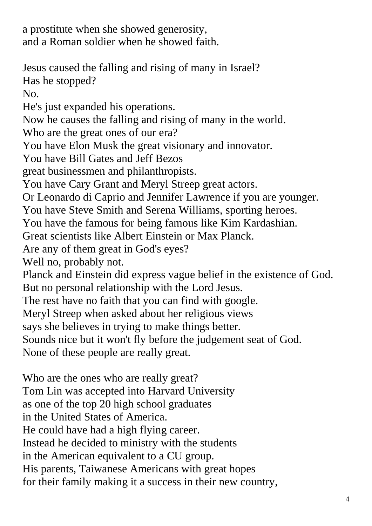a prostitute when she showed generosity, and a Roman soldier when he showed faith.

Jesus caused the falling and rising of many in Israel? Has he stopped? No. He's just expanded his operations. Now he causes the falling and rising of many in the world. Who are the great ones of our era? You have Elon Musk the great visionary and innovator. You have Bill Gates and Jeff Bezos great businessmen and philanthropists. You have Cary Grant and Meryl Streep great actors. Or Leonardo di Caprio and Jennifer Lawrence if you are younger. You have Steve Smith and Serena Williams, sporting heroes. You have the famous for being famous like Kim Kardashian. Great scientists like Albert Einstein or Max Planck. Are any of them great in God's eyes? Well no, probably not. Planck and Einstein did express vague belief in the existence of God. But no personal relationship with the Lord Jesus. The rest have no faith that you can find with google. Meryl Streep when asked about her religious views says she believes in trying to make things better. Sounds nice but it won't fly before the judgement seat of God. None of these people are really great.

Who are the ones who are really great? Tom Lin was accepted into Harvard University as one of the top 20 high school graduates in the United States of America. He could have had a high flying career. Instead he decided to ministry with the students in the American equivalent to a CU group. His parents, Taiwanese Americans with great hopes for their family making it a success in their new country,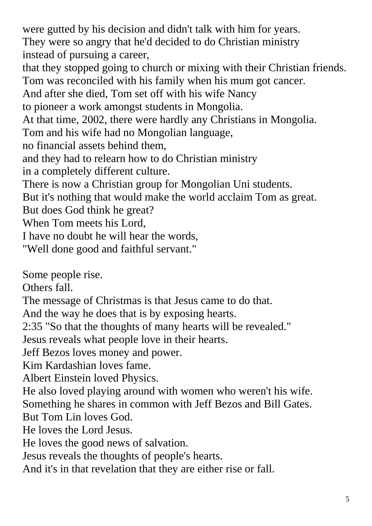were gutted by his decision and didn't talk with him for years. They were so angry that he'd decided to do Christian ministry instead of pursuing a career, that they stopped going to church or mixing with their Christian friends. Tom was reconciled with his family when his mum got cancer. And after she died, Tom set off with his wife Nancy to pioneer a work amongst students in Mongolia. At that time, 2002, there were hardly any Christians in Mongolia. Tom and his wife had no Mongolian language, no financial assets behind them, and they had to relearn how to do Christian ministry in a completely different culture. There is now a Christian group for Mongolian Uni students. But it's nothing that would make the world acclaim Tom as great. But does God think he great? When Tom meets his Lord, I have no doubt he will hear the words, "Well done good and faithful servant."

Some people rise.

Others fall.

The message of Christmas is that Jesus came to do that.

And the way he does that is by exposing hearts.

2:35 "So that the thoughts of many hearts will be revealed."

Jesus reveals what people love in their hearts.

Jeff Bezos loves money and power.

Kim Kardashian loves fame.

Albert Einstein loved Physics.

He also loved playing around with women who weren't his wife. Something he shares in common with Jeff Bezos and Bill Gates.

But Tom Lin loves God.

He loves the Lord Jesus.

He loves the good news of salvation.

Jesus reveals the thoughts of people's hearts.

And it's in that revelation that they are either rise or fall.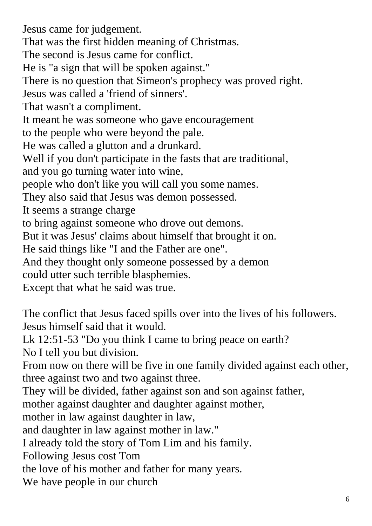Jesus came for judgement. That was the first hidden meaning of Christmas. The second is Jesus came for conflict. He is "a sign that will be spoken against." There is no question that Simeon's prophecy was proved right. Jesus was called a 'friend of sinners'. That wasn't a compliment. It meant he was someone who gave encouragement to the people who were beyond the pale. He was called a glutton and a drunkard. Well if you don't participate in the fasts that are traditional, and you go turning water into wine, people who don't like you will call you some names. They also said that Jesus was demon possessed. It seems a strange charge to bring against someone who drove out demons. But it was Jesus' claims about himself that brought it on. He said things like "I and the Father are one". And they thought only someone possessed by a demon could utter such terrible blasphemies. Except that what he said was true. The conflict that Jesus faced spills over into the lives of his followers.

Jesus himself said that it would.

Lk 12:51-53 "Do you think I came to bring peace on earth?

No I tell you but division.

From now on there will be five in one family divided against each other, three against two and two against three.

They will be divided, father against son and son against father,

mother against daughter and daughter against mother,

mother in law against daughter in law,

and daughter in law against mother in law."

I already told the story of Tom Lim and his family.

Following Jesus cost Tom

the love of his mother and father for many years.

We have people in our church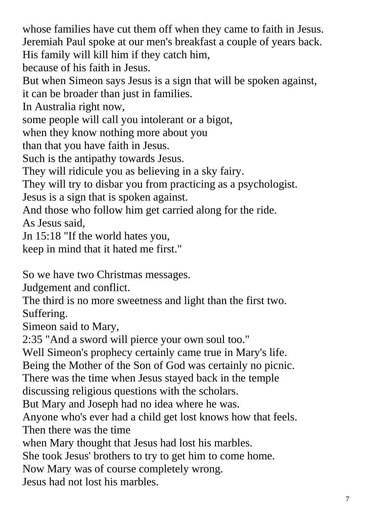whose families have cut them off when they came to faith in Jesus. Jeremiah Paul spoke at our men's breakfast a couple of years back. His family will kill him if they catch him,

because of his faith in Jesus.

But when Simeon says Jesus is a sign that will be spoken against, it can be broader than just in families.

In Australia right now,

some people will call you intolerant or a bigot,

when they know nothing more about you

than that you have faith in Jesus.

Such is the antipathy towards Jesus.

They will ridicule you as believing in a sky fairy.

They will try to disbar you from practicing as a psychologist.

Jesus is a sign that is spoken against.

And those who follow him get carried along for the ride.

As Jesus said,

Jn 15:18 "If the world hates you,

keep in mind that it hated me first."

So we have two Christmas messages.

Judgement and conflict.

The third is no more sweetness and light than the first two. Suffering.

Simeon said to Mary,

2:35 "And a sword will pierce your own soul too."

Well Simeon's prophecy certainly came true in Mary's life.

Being the Mother of the Son of God was certainly no picnic.

There was the time when Jesus stayed back in the temple

discussing religious questions with the scholars.

But Mary and Joseph had no idea where he was.

Anyone who's ever had a child get lost knows how that feels. Then there was the time

when Mary thought that Jesus had lost his marbles.

She took Jesus' brothers to try to get him to come home.

Now Mary was of course completely wrong.

Jesus had not lost his marbles.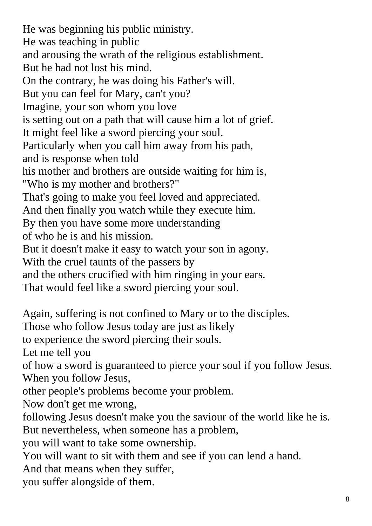He was beginning his public ministry. He was teaching in public and arousing the wrath of the religious establishment. But he had not lost his mind. On the contrary, he was doing his Father's will. But you can feel for Mary, can't you? Imagine, your son whom you love is setting out on a path that will cause him a lot of grief. It might feel like a sword piercing your soul. Particularly when you call him away from his path, and is response when told his mother and brothers are outside waiting for him is, "Who is my mother and brothers?" That's going to make you feel loved and appreciated. And then finally you watch while they execute him. By then you have some more understanding of who he is and his mission. But it doesn't make it easy to watch your son in agony. With the cruel taunts of the passers by and the others crucified with him ringing in your ears. That would feel like a sword piercing your soul. Again, suffering is not confined to Mary or to the disciples. Those who follow Jesus today are just as likely to experience the sword piercing their souls. Let me tell you of how a sword is guaranteed to pierce your soul if you follow Jesus. When you follow Jesus, other people's problems become your problem. Now don't get me wrong, following Jesus doesn't make you the saviour of the world like he is. But nevertheless, when someone has a problem, you will want to take some ownership. You will want to sit with them and see if you can lend a hand. And that means when they suffer, you suffer alongside of them.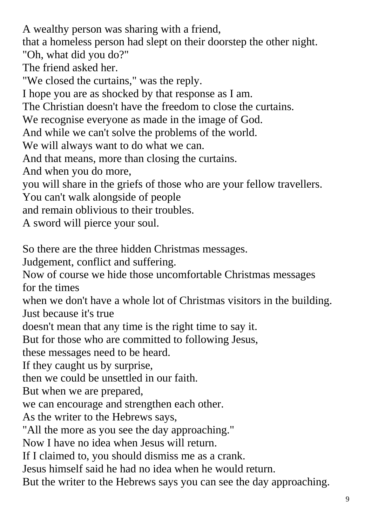A wealthy person was sharing with a friend, that a homeless person had slept on their doorstep the other night. "Oh, what did you do?" The friend asked her. "We closed the curtains," was the reply. I hope you are as shocked by that response as I am. The Christian doesn't have the freedom to close the curtains. We recognise everyone as made in the image of God. And while we can't solve the problems of the world. We will always want to do what we can. And that means, more than closing the curtains. And when you do more, you will share in the griefs of those who are your fellow travellers. You can't walk alongside of people and remain oblivious to their troubles. A sword will pierce your soul. So there are the three hidden Christmas messages. Judgement, conflict and suffering. Now of course we hide those uncomfortable Christmas messages for the times when we don't have a whole lot of Christmas visitors in the building. Just because it's true doesn't mean that any time is the right time to say it. But for those who are committed to following Jesus, these messages need to be heard. If they caught us by surprise, then we could be unsettled in our faith. But when we are prepared, we can encourage and strengthen each other. As the writer to the Hebrews says, "All the more as you see the day approaching." Now I have no idea when Jesus will return. If I claimed to, you should dismiss me as a crank. Jesus himself said he had no idea when he would return. But the writer to the Hebrews says you can see the day approaching.